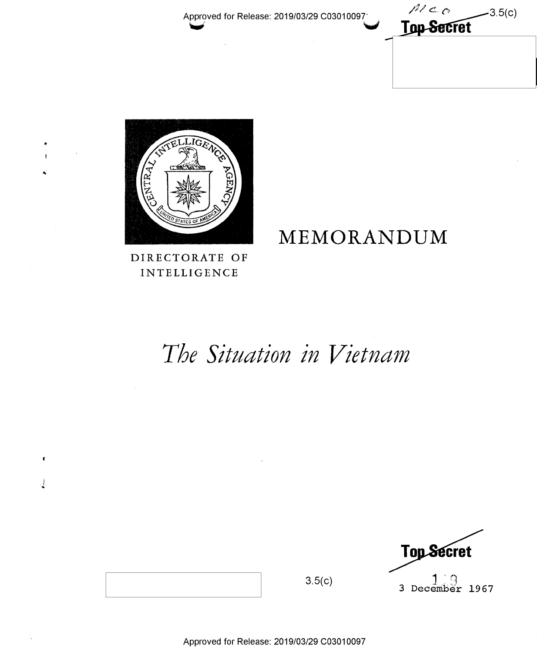$M_{CO}$  $-3.5(c)$ **Top-Secret** 



DIRECTORATE OF INTELLIGENCE

ł

# MEMORANDUM

# The Situation in Vietnam

**Top Secret**  $3$  December 1967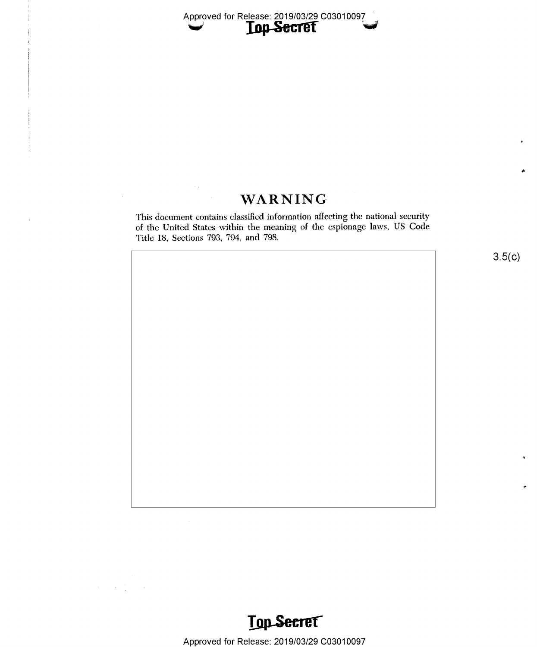

## WARNING

This document contains classified information affecting the national security of the United States within the meaning of the espionage laws, US Code Title 18, Sections 793, 794, and 798.

 $3.5(c)$ 



Approved for Release: 2019/03/29 C03010097

 $\mathcal{A}^{\mathcal{A}}_{\mathcal{A}}$  and  $\mathcal{A}^{\mathcal{A}}_{\mathcal{A}}$  and  $\mathcal{A}^{\mathcal{A}}_{\mathcal{A}}$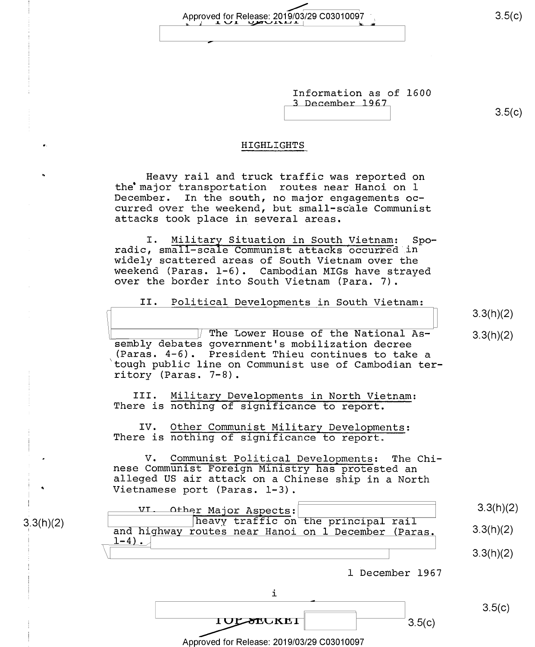Information as of 1600 3 December 1967

 $3.5(c)$ 

#### HIGHLIGHTS

Heavy rail and truck traffic was reported on the major transportation routes near Hanoi on 1 December. In the south, no major engagements occurred over the weekend, but small-scale Communist attacks took place in several areas.

Military Situation in South Vietnam:  $Spo-$ I. radic, small-scale Communist attacks occurred in widely scattered areas of South Vietnam over the weekend (Paras. 1-6). Cambodian MIGs have strayed over the border into South Vietnam (Para. 7).

II. Political Developments in South Vietnam:

 $3.3(h)(2)$ 

 $3.3(h)(2)$ 

The Lower House of the National Assembly debates government's mobilization decree (Paras. 4-6). President Thieu continues to take a tough public line on Communist use of Cambodian territory (Paras. 7-8).

Military Developments in North Vietnam: III. There is nothing of significance to report.

IV. Other Communist Military Developments: There is nothing of significance to report.

 $3.3(h)(2)$ 

 $V_{\bullet}$ Communist Political Developments: The Chinese Communist Foreign Ministry has protested an alleged US air attack on a Chinese ship in a North Vietnamese port (Paras. 1-3).



 $3.5(c)$ 

 $3.5(c)$ 

 $3.5(c)$ 

Approved for Release: 2019/03/29 C03010097

**TOLSEURET**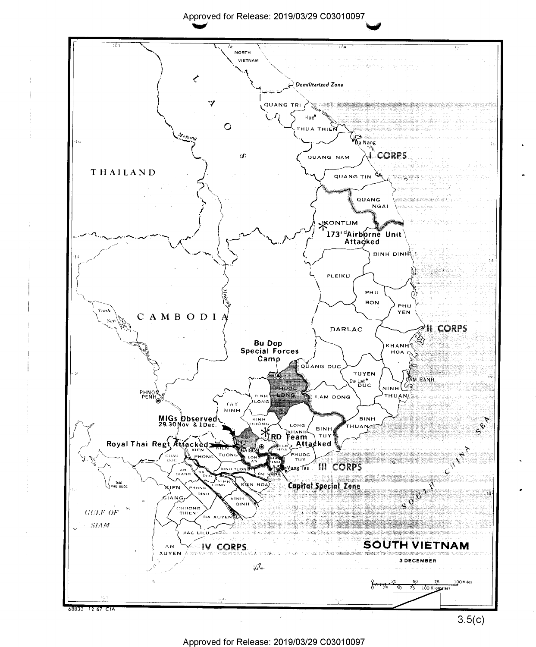Approved for Release: 2019/03/29 C03010097



Approved for Release: 2019/03/29 C03010097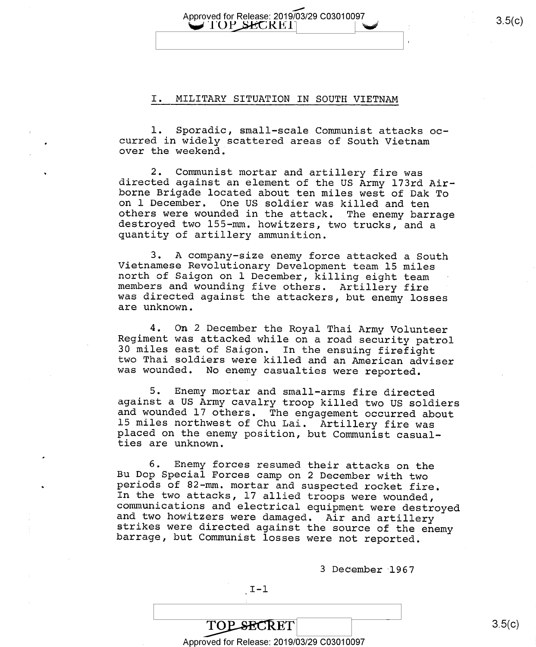## Approved for Release: 2019/03/29 C03010097 3.5(C)<br>
JUP SECREI |

#### I. MILITARY SITUATION IN SOUTH VIETNAM

l. Sporadic, small-scale Communist attacks oc- curred in widely scattered areas of South Vietnam over the weekend.

2. Communist mortar and artillery fire was<br>directed against an element of the US Army 173rd Air-<br>borne Brigade located about ten miles west of Dak To<br>on 1 December. One US soldier was killed and ten<br>others were wounded in

3. A company-size enemy force attacked a South<br>Vietnamese Revolutionary Development team 15 miles<br>north of Saigon on l December, killing eight team<br>members and wounding five others. Artillery fire was directed against the attackers, but enemy losses are unknown.

4. On 2 December the Royal Thai Army Volunteer<br>Regiment was attacked while on a road security patrol<br>30 miles east of Saigon. In the ensuing firefight<br>two Thai soldiers were killed and an American adviser<br>was wounded. No e

5. Enemy mortar and small-arms fire directed<br>against a US Army cavalry troop killed two US soldiers<br>and wounded 17 others. The engagement occurred about<br>15 miles northwest of Chu Lai. Artillery fire was<br>placed on the enemy

6. Enemy forces resumed their attacks on the<br>Bu Dop Special Forces camp on 2 December with two<br>periods of 82-mm. mortar and suspected rocket fire.<br>In the two attacks, 17 allied troops were wounded,<br>communications and elect

<sup>3</sup>December 1967

 $I-1$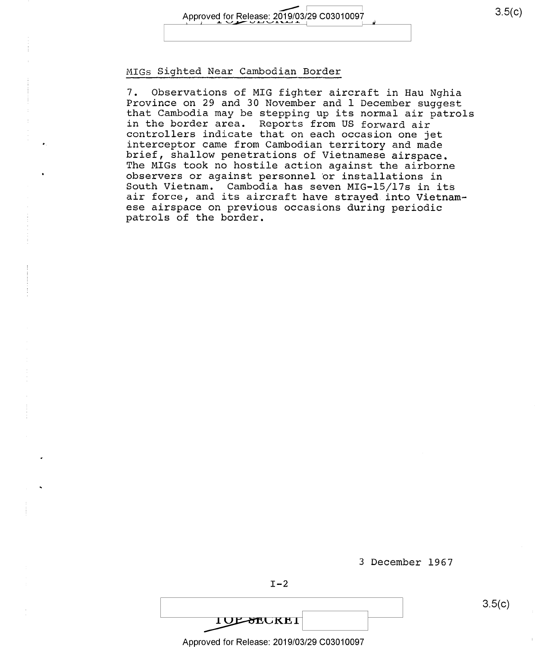#### MIGS Sighted hear Cambodian Border

7. Observations of MIG fighter aircraft in Hau Nghia Province on 29 and 30 November and l December suggest that Cambodia may be stepping up its normal air patrols controllers indicate that on each occasion one jet<br>interceptor came from Cambodian territory and made<br>brief, shallow penetrations of Vietnamese airspace.<br>The MIGs took no hostile action against the airborne<br>observers or ag ese airspace on previous occasions during periodic patrols of the border.

<sup>3</sup>December 1967

**IUL-SEUKEI** 

Approved for Release: 2019/03/29 C03010097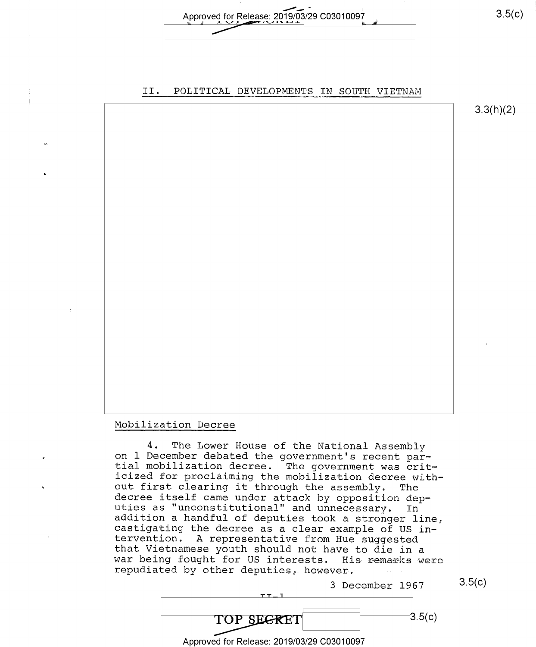Approved for Release: 2019/03/29 C03010097 Approved for Release:

### II. POLITICAL DEVELOPMENTS IN SOUTH VIETNAM

3.3(h)(2)

#### Mobilization Decree

4. The Lower House of the National Assembly<br>on 1 December debated the government's recent par-<br>tial mobilization decree. The government was crit-<br>icized for proclaiming the mobilization decree with-<br>out first clearing it t



<sup>3</sup>December 1967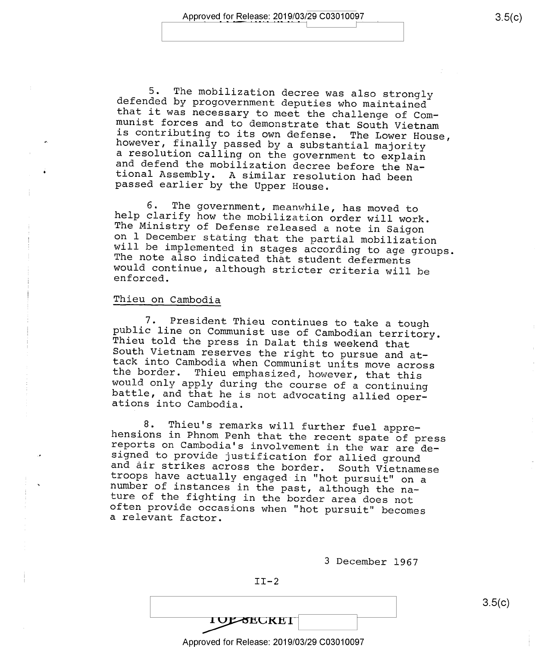5. The mobilization decree was also strongly<br>defended by progovernment deputies who maintained<br>that it was necessary to meet the challenge of Com-<br>munist forces and to demonstrate that South Vietnam<br>is contributing to its

6. The government, meanwhile, has moved to<br>help clarify how the mobilization order will work.<br>The Ministry of Defense released a note in Saigon<br>on 1 December stating that the partial mobilization<br>will be implemented in sta

### Thieu on Cambodia

7. President Thieu continues to take a tough<br>public line on Communist use of Cambodian territory.<br>Thieu told the press in Dalat this weekend that<br>South Vietnam reserves the right to pursue and at-<br>tack into Cambodia when C

8. Thieu's remarks will further fuel appre-<br>hensions in Phnom Penh that the recent spate of press<br>reports on Cambodia's involvement in the war are de-<br>signed to provide justification for allied ground<br>and air strikes acros

<sup>3</sup>December l967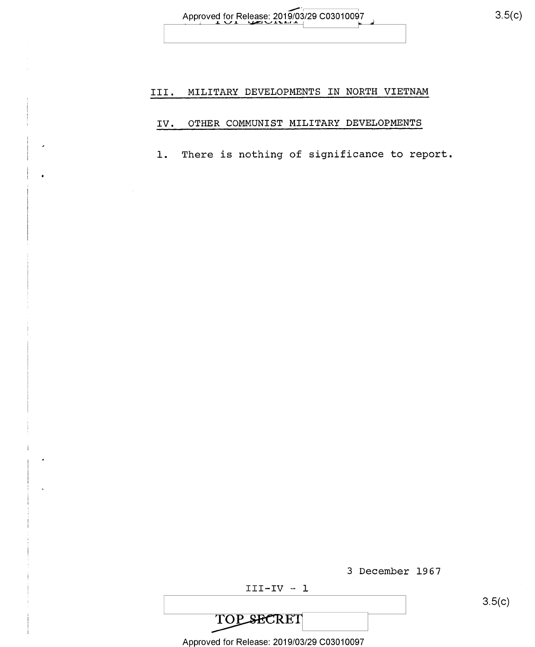#### MILITARY DEVELOPMENTS IN NORTH VIETNAM III.

#### OTHER COMMUNIST MILITARY DEVELOPMENTS IV.

There is nothing of significance to report.  $1.$ 

|                                            | 3 December 1967 |
|--------------------------------------------|-----------------|
| $III - IV - I$                             |                 |
|                                            |                 |
| <b>TOP SECRET</b>                          |                 |
| Approved for Release: 2019/03/29 C03010097 |                 |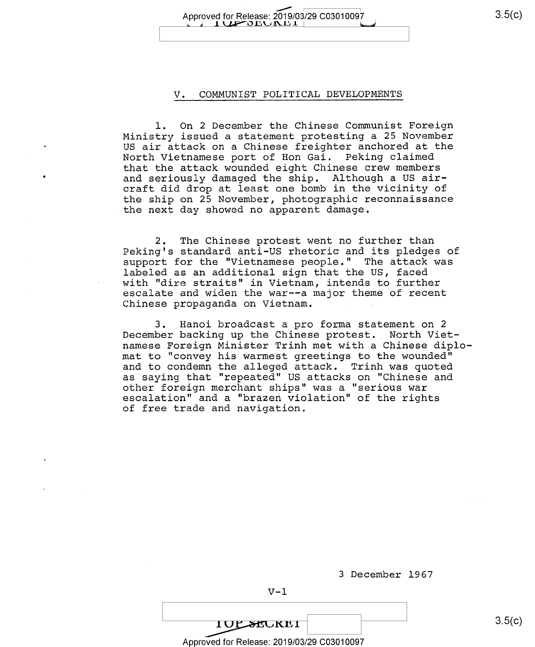Approved for Release: 2019/03/29 C03010097 3.5(C)  $1 \times 2$ DDJNE $1$ 

#### V. COMMUNIST POLITICAL DEVELOPMENTS

l. On 2 December the Chinese Communist Foreign Ministry issued a statement protesting a 25 November US air attack on a Chinese freighter anchored at the North Vietnamese port of Hon Gai. Peking claimed that the attack wounded eight Chinese crew members and seriously damaged the ship. Although a US aircraft did drop at least one bomb in the vicinity of the ship on 25 November, photographic reconnaissance the next day showed no apparent damage.

2. The Chinese protest went no further than Peking's standard anti-US rhetoric and its pledges of support for the "Vietnamese people." The attack was labeled as an additional sign that the US, faced with "dire straits" in Vietnam, intends to further escalate and widen the war--a major theme of recent Chinese propaganda on Vietnam.

3. Hanoi broadcast a pro forma statement on <sup>2</sup> December backing up the Chinese protest. North Vietnamese Foreign Minister Trinh met with a Chinese diplomat to "convey his warmest greetings to the wounded" and to condemn the alleged attack. Trinh was quoted as saying that "repeated" US attacks on "Chinese and<br>other foreign merchant ships" was a "serious war escalation" and a "brazen violation" of the rights of free trade and navigation.

<sup>3</sup>December 1967

Approved for Release: 2019/03/29 C03010097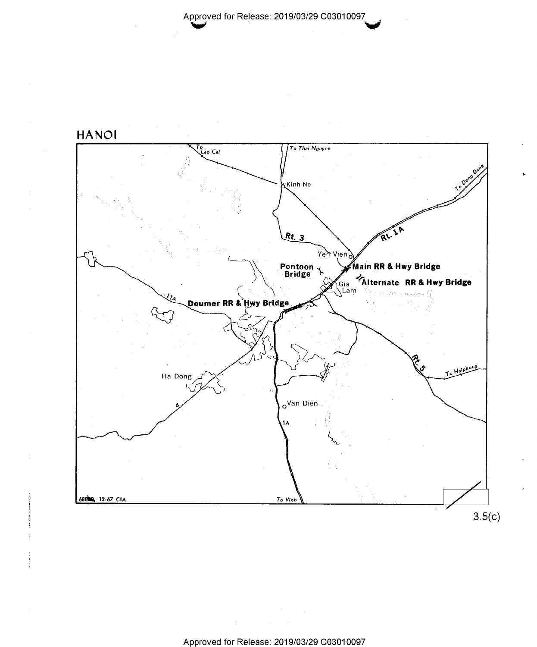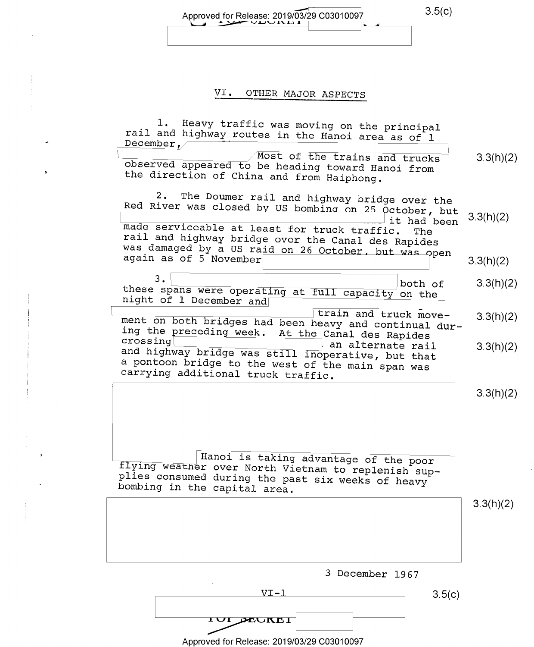Approved for Release: 2019/03/29 C03010097 3.5(C)  $J \rightarrow$ 

 $\ddot{\pm}$ 

 $\frac{1}{2}$ 

### VI. OTHER MAJOR ASPECTS

| 1. Heavy traffic was moving on the principal<br>rail and highway routes in the Hanoi area as of 1<br>December,<br>Most of the trains and trucks<br>observed appeared to be heading toward Hanoi from<br>the direction of China and from Haiphong.                                                 | 3.3(h)(2) |
|---------------------------------------------------------------------------------------------------------------------------------------------------------------------------------------------------------------------------------------------------------------------------------------------------|-----------|
| $2$ .<br>The Doumer rail and highway bridge over the<br>Red River was closed by US bombing on 25 October, but<br>it had been<br>made serviceable at least for truck traffic.<br>The<br>rail and highway bridge over the Canal des Rapides<br>was damaged by a US raid on 26 October, but was open | 3.3(h)(2) |
| again as of 5 November                                                                                                                                                                                                                                                                            | 3.3(h)(2) |
| З.<br>both of<br>these spans were operating at full capacity on the<br>night of 1 December and                                                                                                                                                                                                    | 3.3(h)(2) |
| train and truck move-<br>ment on both bridges had been heavy and continual dur-<br>ing the preceding week. At the Canal des Rapides                                                                                                                                                               | 3.3(h)(2) |
| crossing<br>an alternate rail<br>and highway bridge was still inoperative, but that<br>a pontoon bridge to the west of the main span was<br>carrying additional truck traffic.                                                                                                                    | 3.3(h)(2) |
| Hanoi is taking advantage of the poor<br>flying weather over North Vietnam to replenish sup-<br>plies consumed during the past six weeks of heavy<br>bombing in the capital area.                                                                                                                 | 3.3(h)(2) |
|                                                                                                                                                                                                                                                                                                   | 3.3(h)(2) |
| 3 December 1967                                                                                                                                                                                                                                                                                   |           |
| $VI - 1$<br>3.5(c)<br>IUI DEUREI                                                                                                                                                                                                                                                                  |           |

Approved for Release: 2019/03/29 C03010097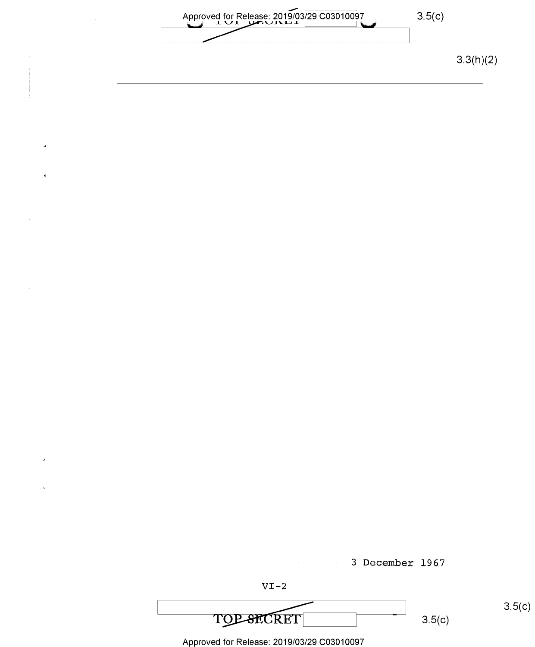Approved for Release: 2019/03/29 C03010097 3.5(c) Approved for Release: 2019/03/29 C03010097

3.3(h)(2)





Approved for Release: 2019/03/29 C03010097